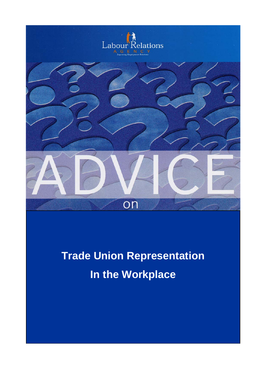

# **Trade Union Representation In the Workplace**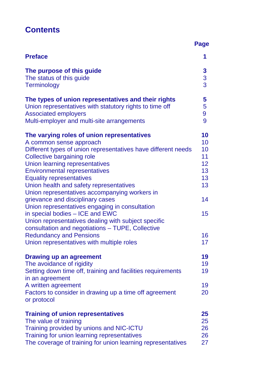# **Contents**

|                                                                                                                                                                                                                                                                                                                                                                  | <b>Page</b>                       |
|------------------------------------------------------------------------------------------------------------------------------------------------------------------------------------------------------------------------------------------------------------------------------------------------------------------------------------------------------------------|-----------------------------------|
| <b>Preface</b>                                                                                                                                                                                                                                                                                                                                                   | 1                                 |
| The purpose of this guide                                                                                                                                                                                                                                                                                                                                        | $\mathbf{3}$                      |
| The status of this guide                                                                                                                                                                                                                                                                                                                                         | 3                                 |
| <b>Terminology</b>                                                                                                                                                                                                                                                                                                                                               | $\overline{3}$                    |
| The types of union representatives and their rights                                                                                                                                                                                                                                                                                                              | 5                                 |
| Union representatives with statutory rights to time off                                                                                                                                                                                                                                                                                                          | 5                                 |
| <b>Associated employers</b>                                                                                                                                                                                                                                                                                                                                      | 9                                 |
| Multi-employer and multi-site arrangements                                                                                                                                                                                                                                                                                                                       | 9                                 |
| The varying roles of union representatives                                                                                                                                                                                                                                                                                                                       | 10                                |
| A common sense approach                                                                                                                                                                                                                                                                                                                                          | 10                                |
| Different types of union representatives have different needs                                                                                                                                                                                                                                                                                                    | 10                                |
| Collective bargaining role                                                                                                                                                                                                                                                                                                                                       | 11                                |
| Union learning representatives                                                                                                                                                                                                                                                                                                                                   | 12 <sub>2</sub>                   |
| <b>Environmental representatives</b>                                                                                                                                                                                                                                                                                                                             | 13                                |
| <b>Equality representatives</b>                                                                                                                                                                                                                                                                                                                                  | 13                                |
| Union health and safety representatives                                                                                                                                                                                                                                                                                                                          | 13                                |
| Union representatives accompanying workers in<br>grievance and disciplinary cases<br>Union representatives engaging in consultation<br>in special bodies - ICE and EWC<br>Union representatives dealing with subject specific<br>consultation and negotiations – TUPE, Collective<br><b>Redundancy and Pensions</b><br>Union representatives with multiple roles | 14<br>15 <sub>1</sub><br>16<br>17 |
| <b>Drawing up an agreement</b><br>The avoidance of rigidity<br>Setting down time off, training and facilities requirements<br>in an agreement<br>A written agreement<br>Factors to consider in drawing up a time off agreement<br>or protocol                                                                                                                    | 19<br>19<br>19<br>19<br>20        |
| <b>Training of union representatives</b>                                                                                                                                                                                                                                                                                                                         | 25                                |
| The value of training                                                                                                                                                                                                                                                                                                                                            | 25                                |
| Training provided by unions and NIC-ICTU                                                                                                                                                                                                                                                                                                                         | 26                                |
| Training for union learning representatives                                                                                                                                                                                                                                                                                                                      | 26                                |
| The coverage of training for union learning representatives                                                                                                                                                                                                                                                                                                      | 27                                |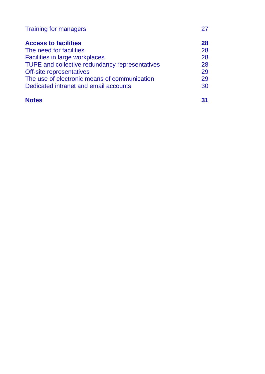| <b>Training for managers</b>                   |    |
|------------------------------------------------|----|
| <b>Access to facilities</b>                    | 28 |
| The need for facilities                        | 28 |
| <b>Facilities in large workplaces</b>          | 28 |
| TUPE and collective redundancy representatives | 28 |
| Off-site representatives                       | 29 |
| The use of electronic means of communication   | 29 |
| Dedicated intranet and email accounts          | 30 |
|                                                |    |

| <b>Notes</b> | 31 |
|--------------|----|
|              |    |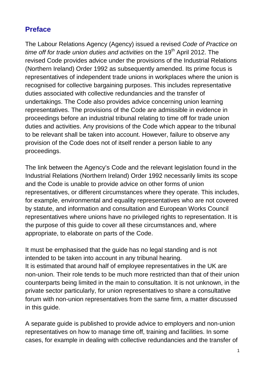# **Preface**

The Labour Relations Agency (Agency) issued a revised *Code of Practice on time off for trade union duties and activities on the 19<sup>th</sup> April 2012. The* revised Code provides advice under the provisions of the Industrial Relations (Northern Ireland) Order 1992 as subsequently amended. Its prime focus is representatives of independent trade unions in workplaces where the union is recognised for collective bargaining purposes. This includes representative duties associated with collective redundancies and the transfer of undertakings. The Code also provides advice concerning union learning representatives. The provisions of the Code are admissible in evidence in proceedings before an industrial tribunal relating to time off for trade union duties and activities. Any provisions of the Code which appear to the tribunal to be relevant shall be taken into account. However, failure to observe any provision of the Code does not of itself render a person liable to any proceedings.

The link between the Agency's Code and the relevant legislation found in the Industrial Relations (Northern Ireland) Order 1992 necessarily limits its scope and the Code is unable to provide advice on other forms of union representatives, or different circumstances where they operate. This includes, for example, environmental and equality representatives who are not covered by statute, and information and consultation and European Works Council representatives where unions have no privileged rights to representation. It is the purpose of this guide to cover all these circumstances and, where appropriate, to elaborate on parts of the Code.

It must be emphasised that the guide has no legal standing and is not intended to be taken into account in any tribunal hearing. It is estimated that around half of employee representatives in the UK are non-union. Their role tends to be much more restricted than that of their union counterparts being limited in the main to consultation. It is not unknown, in the private sector particularly, for union representatives to share a consultative forum with non-union representatives from the same firm, a matter discussed in this guide.

A separate guide is published to provide advice to employers and non-union representatives on how to manage time off, training and facilities. In some cases, for example in dealing with collective redundancies and the transfer of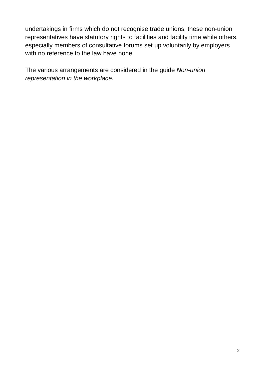undertakings in firms which do not recognise trade unions, these non-union representatives have statutory rights to facilities and facility time while others, especially members of consultative forums set up voluntarily by employers with no reference to the law have none.

The various arrangements are considered in the guide *Non-union representation in the workplace.*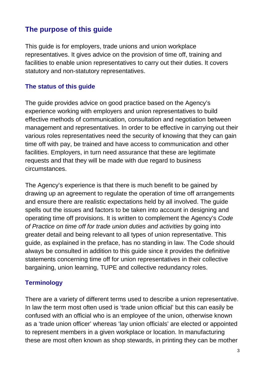# **The purpose of this guide**

This guide is for employers, trade unions and union workplace representatives. It gives advice on the provision of time off, training and facilities to enable union representatives to carry out their duties. It covers statutory and non-statutory representatives.

#### **The status of this guide**

The guide provides advice on good practice based on the Agency's experience working with employers and union representatives to build effective methods of communication, consultation and negotiation between management and representatives. In order to be effective in carrying out their various roles representatives need the security of knowing that they can gain time off with pay, be trained and have access to communication and other facilities. Employers, in turn need assurance that these are legitimate requests and that they will be made with due regard to business circumstances.

The Agency's experience is that there is much benefit to be gained by drawing up an agreement to regulate the operation of time off arrangements and ensure there are realistic expectations held by all involved. The guide spells out the issues and factors to be taken into account in designing and operating time off provisions. It is written to complement the Agency's *Code of Practice on time off for trade union duties and activities* by going into greater detail and being relevant to all types of union representative. This guide, as explained in the preface, has no standing in law. The Code should always be consulted in addition to this guide since it provides the definitive statements concerning time off for union representatives in their collective bargaining, union learning, TUPE and collective redundancy roles.

#### **Terminology**

There are a variety of different terms used to describe a union representative. In law the term most often used is 'trade union official' but this can easily be confused with an official who is an employee of the union, otherwise known as a 'trade union officer' whereas 'lay union officials' are elected or appointed to represent members in a given workplace or location. In manufacturing these are most often known as shop stewards, in printing they can be mother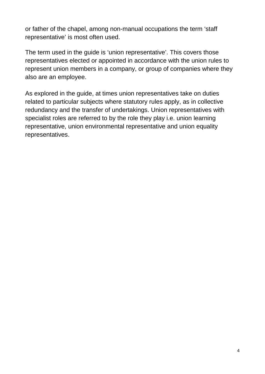or father of the chapel, among non-manual occupations the term 'staff representative' is most often used.

The term used in the guide is 'union representative'. This covers those representatives elected or appointed in accordance with the union rules to represent union members in a company, or group of companies where they also are an employee.

As explored in the guide, at times union representatives take on duties related to particular subjects where statutory rules apply, as in collective redundancy and the transfer of undertakings. Union representatives with specialist roles are referred to by the role they play i.e. union learning representative, union environmental representative and union equality representatives.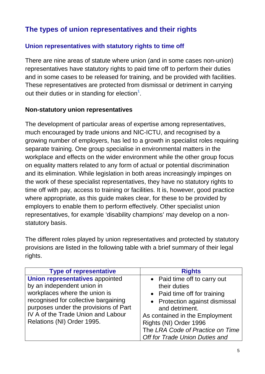# **The types of union representatives and their rights**

# **Union representatives with statutory rights to time off**

There are nine areas of statute where union (and in some cases non-union) representatives have statutory rights to paid time off to perform their duties and in some cases to be released for training, and be provided with facilities. These representatives are protected from dismissal or detriment in carrying out their duties or in standing for election<sup>1</sup>.

#### **Non-statutory union representatives**

The development of particular areas of expertise among representatives, much encouraged by trade unions and NIC-ICTU, and recognised by a growing number of employers, has led to a growth in specialist roles requiring separate training. One group specialise in environmental matters in the workplace and effects on the wider environment while the other group focus on equality matters related to any form of actual or potential discrimination and its elimination. While legislation in both areas increasingly impinges on the work of these specialist representatives, they have no statutory rights to time off with pay, access to training or facilities. It is, however, good practice where appropriate, as this guide makes clear, for these to be provided by employers to enable them to perform effectively. Other specialist union representatives, for example 'disability champions' may develop on a nonstatutory basis.

The different roles played by union representatives and protected by statutory provisions are listed in the following table with a brief summary of their legal rights.

| <b>Type of representative</b>                                                                                                                                                                                                | <b>Rights</b>                                                                                                                                                      |
|------------------------------------------------------------------------------------------------------------------------------------------------------------------------------------------------------------------------------|--------------------------------------------------------------------------------------------------------------------------------------------------------------------|
| <b>Union representatives appointed</b><br>by an independent union in<br>workplaces where the union is<br>recognised for collective bargaining<br>purposes under the provisions of Part<br>IV A of the Trade Union and Labour | • Paid time off to carry out<br>their duties<br>• Paid time off for training<br>• Protection against dismissal<br>and detriment.<br>As contained in the Employment |
| Relations (NI) Order 1995.                                                                                                                                                                                                   | Rights (NI) Order 1996<br>The LRA Code of Practice on Time<br>Off for Trade Union Duties and                                                                       |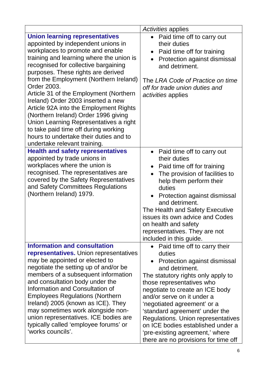|                                                                                                                                                                                                                                                                                                                                                                                                                                                                                                                                                                                                                                  | Activities applies                                                                                                                                                                                                                                                                                                                                                                                                                                  |
|----------------------------------------------------------------------------------------------------------------------------------------------------------------------------------------------------------------------------------------------------------------------------------------------------------------------------------------------------------------------------------------------------------------------------------------------------------------------------------------------------------------------------------------------------------------------------------------------------------------------------------|-----------------------------------------------------------------------------------------------------------------------------------------------------------------------------------------------------------------------------------------------------------------------------------------------------------------------------------------------------------------------------------------------------------------------------------------------------|
| <b>Union learning representatives</b><br>appointed by independent unions in<br>workplaces to promote and enable<br>training and learning where the union is<br>recognised for collective bargaining<br>purposes. These rights are derived<br>from the Employment (Northern Ireland)<br>Order 2003.<br>Article 31 of the Employment (Northern<br>Ireland) Order 2003 inserted a new<br>Article 92A into the Employment Rights<br>(Northern Ireland) Order 1996 giving<br>Union Learning Representatives a right<br>to take paid time off during working<br>hours to undertake their duties and to<br>undertake relevant training. | Paid time off to carry out<br>$\bullet$<br>their duties<br>Paid time off for training<br>$\bullet$<br>Protection against dismissal<br>and detriment.<br>The LRA Code of Practice on time<br>off for trade union duties and<br>activities applies                                                                                                                                                                                                    |
| <b>Health and safety representatives</b><br>appointed by trade unions in<br>workplaces where the union is<br>recognised. The representatives are<br>covered by the Safety Representatives<br>and Safety Committees Regulations<br>(Northern Ireland) 1979.                                                                                                                                                                                                                                                                                                                                                                       | • Paid time off to carry out<br>their duties<br>• Paid time off for training<br>The provision of facilities to<br>help them perform their<br>duties<br>Protection against dismissal<br>and detriment.<br>The Health and Safety Executive<br>issues its own advice and Codes<br>on health and safety<br>representatives. They are not<br>included in this guide.                                                                                     |
| <b>Information and consultation</b><br>representatives. Union representatives<br>may be appointed or elected to<br>negotiate the setting up of and/or be<br>members of a subsequent information<br>and consultation body under the<br>Information and Consultation of<br><b>Employees Regulations (Northern</b><br>Ireland) 2005 (known as ICE). They<br>may sometimes work alongside non-<br>union representatives. ICE bodies are<br>typically called 'employee forums' or<br>'works councils'.                                                                                                                                | Paid time off to carry their<br>duties<br>Protection against dismissal<br>and detriment.<br>The statutory rights only apply to<br>those representatives who<br>negotiate to create an ICE body<br>and/or serve on it under a<br>'negotiated agreement' or a<br>'standard agreement' under the<br>Regulations. Union representatives<br>on ICE bodies established under a<br>'pre-existing agreement,' where<br>there are no provisions for time off |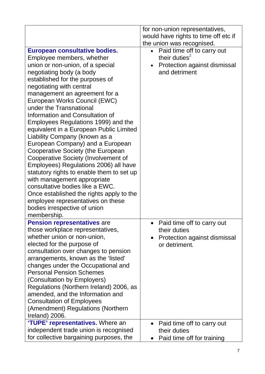|                                                                                                                                                                                                                                                                                                                                                                                                                                                                                                                                                                                                                                                                                                                                                                                                                                                            | for non-union representatives,<br>would have rights to time off etc if                                   |
|------------------------------------------------------------------------------------------------------------------------------------------------------------------------------------------------------------------------------------------------------------------------------------------------------------------------------------------------------------------------------------------------------------------------------------------------------------------------------------------------------------------------------------------------------------------------------------------------------------------------------------------------------------------------------------------------------------------------------------------------------------------------------------------------------------------------------------------------------------|----------------------------------------------------------------------------------------------------------|
|                                                                                                                                                                                                                                                                                                                                                                                                                                                                                                                                                                                                                                                                                                                                                                                                                                                            | the union was recognised.                                                                                |
| <b>European consultative bodies.</b><br>Employee members, whether<br>union or non-union, of a special<br>negotiating body (a body<br>established for the purposes of<br>negotiating with central<br>management an agreement for a<br>European Works Council (EWC)<br>under the Transnational<br>Information and Consultation of<br>Employees Regulations 1999) and the<br>equivalent in a European Public Limited<br>Liability Company (known as a<br>European Company) and a European<br>Cooperative Society (the European<br>Cooperative Society (Involvement of<br>Employees) Regulations 2006) all have<br>statutory rights to enable them to set up<br>with management appropriate<br>consultative bodies like a EWC.<br>Once established the rights apply to the<br>employee representatives on these<br>bodies irrespective of union<br>membership. | Paid time off to carry out<br>their duties <sup>2</sup><br>Protection against dismissal<br>and detriment |
| <b>Pension representatives are</b><br>those workplace representatives,<br>whether union or non-union,<br>elected for the purpose of<br>consultation over changes to pension<br>arrangements, known as the 'listed'<br>changes under the Occupational and<br><b>Personal Pension Schemes</b><br>(Consultation by Employers)<br>Regulations (Northern Ireland) 2006, as<br>amended, and the Information and<br><b>Consultation of Employees</b><br>(Amendment) Regulations (Northern<br>Ireland) 2006.                                                                                                                                                                                                                                                                                                                                                       | Paid time off to carry out<br>their duties<br>Protection against dismissal<br>$\bullet$<br>or detriment. |
| 'TUPE' representatives. Where an<br>independent trade union is recognised<br>for collective bargaining purposes, the                                                                                                                                                                                                                                                                                                                                                                                                                                                                                                                                                                                                                                                                                                                                       | Paid time off to carry out<br>$\bullet$<br>their duties<br>Paid time off for training<br>$\bullet$       |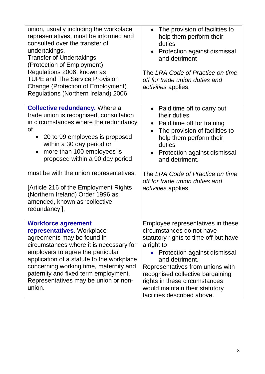| union, usually including the workplace<br>representatives, must be informed and<br>consulted over the transfer of<br>undertakings.<br><b>Transfer of Undertakings</b><br>(Protection of Employment)<br>Regulations 2006, known as<br><b>TUPE and The Service Provision</b>                                                                              | The provision of facilities to<br>help them perform their<br>duties<br>Protection against dismissal<br>$\bullet$<br>and detriment<br>The LRA Code of Practice on time<br>off for trade union duties and                                                                                                                                             |
|---------------------------------------------------------------------------------------------------------------------------------------------------------------------------------------------------------------------------------------------------------------------------------------------------------------------------------------------------------|-----------------------------------------------------------------------------------------------------------------------------------------------------------------------------------------------------------------------------------------------------------------------------------------------------------------------------------------------------|
| <b>Change (Protection of Employment)</b><br>Regulations (Northern Ireland) 2006                                                                                                                                                                                                                                                                         | <i>activities</i> applies.                                                                                                                                                                                                                                                                                                                          |
| <b>Collective redundancy.</b> Where a<br>trade union is recognised, consultation<br>in circumstances where the redundancy<br>οf<br>20 to 99 employees is proposed<br>within a 30 day period or<br>more than 100 employees is<br>proposed within a 90 day period                                                                                         | • Paid time off to carry out<br>their duties<br>Paid time off for training<br>$\bullet$<br>The provision of facilities to<br>help them perform their<br>duties<br>Protection against dismissal<br>and detriment.                                                                                                                                    |
| must be with the union representatives.<br>[Article 216 of the Employment Rights<br>(Northern Ireland) Order 1996 as<br>amended, known as 'collective<br>redundancy'],                                                                                                                                                                                  | The LRA Code of Practice on time<br>off for trade union duties and<br><i>activities</i> applies.                                                                                                                                                                                                                                                    |
| <b>Workforce agreement</b><br>representatives. Workplace<br>agreements may be found in<br>circumstances where it is necessary for<br>employers to agree the particular<br>application of a statute to the workplace<br>concerning working time, maternity and<br>paternity and fixed term employment.<br>Representatives may be union or non-<br>union. | Employee representatives in these<br>circumstances do not have<br>statutory rights to time off but have<br>a right to<br>• Protection against dismissal<br>and detriment.<br>Representatives from unions with<br>recognised collective bargaining<br>rights in these circumstances<br>would maintain their statutory<br>facilities described above. |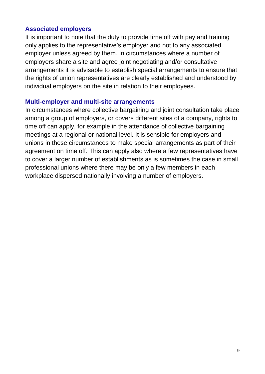#### **Associated employers**

It is important to note that the duty to provide time off with pay and training only applies to the representative's employer and not to any associated employer unless agreed by them. In circumstances where a number of employers share a site and agree joint negotiating and/or consultative arrangements it is advisable to establish special arrangements to ensure that the rights of union representatives are clearly established and understood by individual employers on the site in relation to their employees.

#### **Multi-employer and multi-site arrangements**

In circumstances where collective bargaining and joint consultation take place among a group of employers, or covers different sites of a company, rights to time off can apply, for example in the attendance of collective bargaining meetings at a regional or national level. It is sensible for employers and unions in these circumstances to make special arrangements as part of their agreement on time off. This can apply also where a few representatives have to cover a larger number of establishments as is sometimes the case in small professional unions where there may be only a few members in each workplace dispersed nationally involving a number of employers.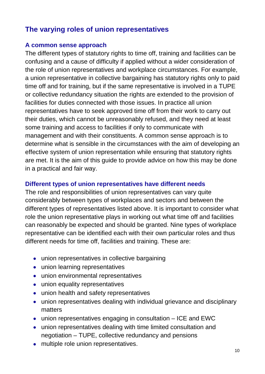# **The varying roles of union representatives**

#### **A common sense approach**

The different types of statutory rights to time off, training and facilities can be confusing and a cause of difficulty if applied without a wider consideration of the role of union representatives and workplace circumstances. For example, a union representative in collective bargaining has statutory rights only to paid time off and for training, but if the same representative is involved in a TUPE or collective redundancy situation the rights are extended to the provision of facilities for duties connected with those issues. In practice all union representatives have to seek approved time off from their work to carry out their duties, which cannot be unreasonably refused, and they need at least some training and access to facilities if only to communicate with management and with their constituents. A common sense approach is to determine what is sensible in the circumstances with the aim of developing an effective system of union representation while ensuring that statutory rights are met. It is the aim of this guide to provide advice on how this may be done in a practical and fair way.

#### **Different types of union representatives have different needs**

The role and responsibilities of union representatives can vary quite considerably between types of workplaces and sectors and between the different types of representatives listed above. It is important to consider what role the union representative plays in working out what time off and facilities can reasonably be expected and should be granted. Nine types of workplace representative can be identified each with their own particular roles and thus different needs for time off, facilities and training. These are:

- union representatives in collective bargaining
- union learning representatives
- union environmental representatives
- union equality representatives
- union health and safety representatives
- union representatives dealing with individual grievance and disciplinary matters
- union representatives engaging in consultation ICE and EWC
- union representatives dealing with time limited consultation and negotiation – TUPE, collective redundancy and pensions
- multiple role union representatives.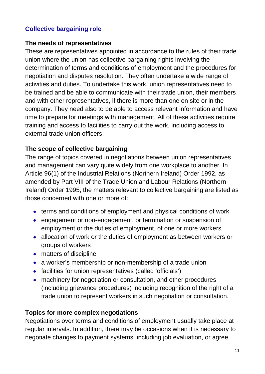# **Collective bargaining role**

#### **The needs of representatives**

These are representatives appointed in accordance to the rules of their trade union where the union has collective bargaining rights involving the determination of terms and conditions of employment and the procedures for negotiation and disputes resolution. They often undertake a wide range of activities and duties. To undertake this work, union representatives need to be trained and be able to communicate with their trade union, their members and with other representatives, if there is more than one on site or in the company. They need also to be able to access relevant information and have time to prepare for meetings with management. All of these activities require training and access to facilities to carry out the work, including access to external trade union officers.

#### **The scope of collective bargaining**

The range of topics covered in negotiations between union representatives and management can vary quite widely from one workplace to another. In Article 96(1) of the Industrial Relations (Northern Ireland) Order 1992, as amended by Part VIII of the Trade Union and Labour Relations (Northern Ireland) Order 1995, the matters relevant to collective bargaining are listed as those concerned with one or more of:

- terms and conditions of employment and physical conditions of work
- engagement or non-engagement, or termination or suspension of employment or the duties of employment, of one or more workers
- allocation of work or the duties of employment as between workers or groups of workers
- matters of discipline
- a worker's membership or non-membership of a trade union
- facilities for union representatives (called 'officials')
- machinery for negotiation or consultation, and other procedures (including grievance procedures) including recognition of the right of a trade union to represent workers in such negotiation or consultation.

#### **Topics for more complex negotiations**

Negotiations over terms and conditions of employment usually take place at regular intervals. In addition, there may be occasions when it is necessary to negotiate changes to payment systems, including job evaluation, or agree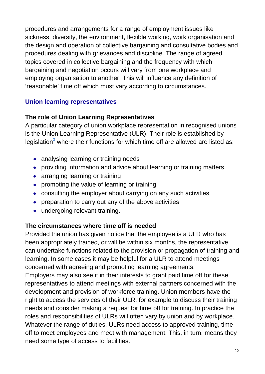procedures and arrangements for a range of employment issues like sickness, diversity, the environment, flexible working, work organisation and the design and operation of collective bargaining and consultative bodies and procedures dealing with grievances and discipline. The range of agreed topics covered in collective bargaining and the frequency with which bargaining and negotiation occurs will vary from one workplace and employing organisation to another. This will influence any definition of 'reasonable' time off which must vary according to circumstances.

#### **Union learning representatives**

#### **The role of Union Learning Representatives**

A particular category of union workplace representation in recognised unions is the Union Learning Representative (ULR). Their role is established by legislation**<sup>3</sup>** where their functions for which time off are allowed are listed as:

- analysing learning or training needs
- providing information and advice about learning or training matters
- arranging learning or training
- promoting the value of learning or training
- consulting the employer about carrying on any such activities
- preparation to carry out any of the above activities
- undergoing relevant training.

#### **The circumstances where time off is needed**

Provided the union has given notice that the employee is a ULR who has been appropriately trained, or will be within six months, the representative can undertake functions related to the provision or propagation of training and learning. In some cases it may be helpful for a ULR to attend meetings concerned with agreeing and promoting learning agreements.

Employers may also see it in their interests to grant paid time off for these representatives to attend meetings with external partners concerned with the development and provision of workforce training. Union members have the right to access the services of their ULR, for example to discuss their training needs and consider making a request for time off for training. In practice the roles and responsibilities of ULRs will often vary by union and by workplace. Whatever the range of duties, ULRs need access to approved training, time off to meet employees and meet with management. This, in turn, means they need some type of access to facilities.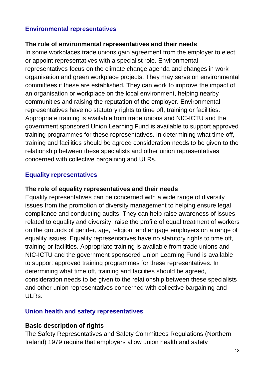## **Environmental representatives**

#### **The role of environmental representatives and their needs**

In some workplaces trade unions gain agreement from the employer to elect or appoint representatives with a specialist role. Environmental representatives focus on the climate change agenda and changes in work organisation and green workplace projects. They may serve on environmental committees if these are established. They can work to improve the impact of an organisation or workplace on the local environment, helping nearby communities and raising the reputation of the employer. Environmental representatives have no statutory rights to time off, training or facilities. Appropriate training is available from trade unions and NIC-ICTU and the government sponsored Union Learning Fund is available to support approved training programmes for these representatives. In determining what time off, training and facilities should be agreed consideration needs to be given to the relationship between these specialists and other union representatives concerned with collective bargaining and ULRs.

#### **Equality representatives**

#### **The role of equality representatives and their needs**

Equality representatives can be concerned with a wide range of diversity issues from the promotion of diversity management to helping ensure legal compliance and conducting audits. They can help raise awareness of issues related to equality and diversity; raise the profile of equal treatment of workers on the grounds of gender, age, religion, and engage employers on a range of equality issues. Equality representatives have no statutory rights to time off, training or facilities. Appropriate training is available from trade unions and NIC-ICTU and the government sponsored Union Learning Fund is available to support approved training programmes for these representatives. In determining what time off, training and facilities should be agreed, consideration needs to be given to the relationship between these specialists and other union representatives concerned with collective bargaining and ULRs.

#### **Union health and safety representatives**

#### **Basic description of rights**

The Safety Representatives and Safety Committees Regulations (Northern Ireland) 1979 require that employers allow union health and safety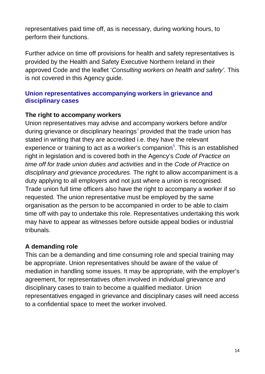representatives paid time off, as is necessary, during working hours, to perform their functions.

Further advice on time off provisions for health and safety representatives is provided by the Health and Safety Executive Northern Ireland in their approved Code and the leaflet '*Consulting workers on health and safety'*. This is not covered in this Agency guide.

#### **Union representatives accompanying workers in grievance and disciplinary cases**

#### **The right to accompany workers**

Union representatives may advise and accompany workers before and/or during grievance or disciplinary hearings<sup>4</sup> provided that the trade union has stated in writing that they are accredited i.e. they have the relevant experience or training to act as a worker's companion**<sup>5</sup>** . This is an established right in legislation and is covered both in the Agency's *Code of Practice on time off for trade union duties and activities* and in the *Code of Practice on disciplinary and grievance procedures.* The right to allow accompaniment is a duty applying to all employers and not just where a union is recognised. Trade union full time officers also have the right to accompany a worker if so requested. The union representative must be employed by the same organisation as the person to be accompanied in order to be able to claim time off with pay to undertake this role. Representatives undertaking this work may have to appear as witnesses before outside appeal bodies or industrial tribunals.

#### **A demanding role**

This can be a demanding and time consuming role and special training may be appropriate. Union representatives should be aware of the value of mediation in handling some issues. It may be appropriate, with the employer's agreement, for representatives often involved in individual grievance and disciplinary cases to train to become a qualified mediator. Union representatives engaged in grievance and disciplinary cases will need access to a confidential space to meet the worker involved.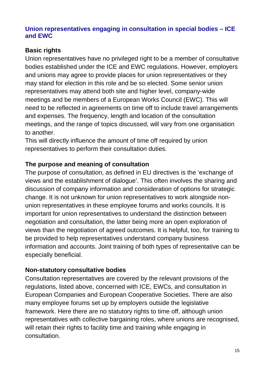#### **Union representatives engaging in consultation in special bodies – ICE and EWC**

# **Basic rights**

Union representatives have no privileged right to be a member of consultative bodies established under the ICE and EWC regulations. However, employers and unions may agree to provide places for union representatives or they may stand for election in this role and be so elected. Some senior union representatives may attend both site and higher level, company-wide meetings and be members of a European Works Council (EWC). This will need to be reflected in agreements on time off to include travel arrangements and expenses. The frequency, length and location of the consultation meetings, and the range of topics discussed, will vary from one organisation to another.

This will directly influence the amount of time off required by union representatives to perform their consultation duties.

# **The purpose and meaning of consultation**

The purpose of consultation, as defined in EU directives is the 'exchange of views and the establishment of dialogue'. This often involves the sharing and discussion of company information and consideration of options for strategic change. It is not unknown for union representatives to work alongside nonunion representatives in these employee forums and works councils. It is important for union representatives to understand the distinction between negotiation and consultation, the latter being more an open exploration of views than the negotiation of agreed outcomes. It is helpful, too, for training to be provided to help representatives understand company business information and accounts. Joint training of both types of representative can be especially beneficial.

#### **Non-statutory consultative bodies**

Consultation representatives are covered by the relevant provisions of the regulations, listed above, concerned with ICE, EWCs, and consultation in European Companies and European Cooperative Societies. There are also many employee forums set up by employers outside the legislative framework. Here there are no statutory rights to time off, although union representatives with collective bargaining roles, where unions are recognised, will retain their rights to facility time and training while engaging in consultation.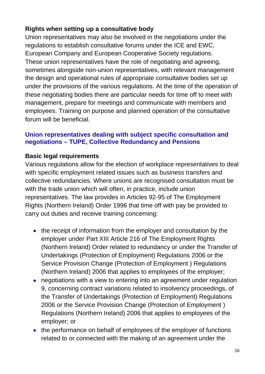# **Rights when setting up a consultative body**

Union representatives may also be involved in the negotiations under the regulations to establish consultative forums under the ICE and EWC, European Company and European Cooperative Society regulations. These union representatives have the role of negotiating and agreeing, sometimes alongside non-union representatives, with relevant management the design and operational rules of appropriate consultative bodies set up under the provisions of the various regulations. At the time of the operation of these negotiating bodies there are particular needs for time off to meet with management, prepare for meetings and communicate with members and employees. Training on purpose and planned operation of the consultative forum will be beneficial.

#### **Union representatives dealing with subject specific consultation and negotiations – TUPE, Collective Redundancy and Pensions**

#### **Basic legal requirements**

Various regulations allow for the election of workplace representatives to deal with specific employment related issues such as business transfers and collective redundancies. Where unions are recognised consultation must be with the trade union which will often, in practice, include union representatives. The law provides in Articles 92-95 of The Employment Rights (Northern Ireland) Order 1996 that time off with pay be provided to carry out duties and receive training concerning:

- the receipt of information from the employer and consultation by the employer under Part XIII Article 216 of The Employment Rights (Northern Ireland) Order related to redundancy or under the Transfer of Undertakings (Protection of Employment) Regulations 2006 or the Service Provision Change (Protection of Employment ) Regulations (Northern Ireland) 2006 that applies to employees of the employer;
- negotiations with a view to entering into an agreement under regulation 9, concerning contract variations related to insolvency proceedings, of the Transfer of Undertakings (Protection of Employment) Regulations 2006 or the Service Provision Change (Protection of Employment ) Regulations (Northern Ireland) 2006 that applies to employees of the employer; or
- the performance on behalf of employees of the employer of functions related to or connected with the making of an agreement under the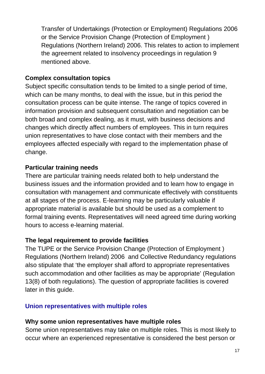Transfer of Undertakings (Protection or Employment) Regulations 2006 or the Service Provision Change (Protection of Employment ) Regulations (Northern Ireland) 2006. This relates to action to implement the agreement related to insolvency proceedings in regulation 9 mentioned above.

## **Complex consultation topics**

Subject specific consultation tends to be limited to a single period of time, which can be many months, to deal with the issue, but in this period the consultation process can be quite intense. The range of topics covered in information provision and subsequent consultation and negotiation can be both broad and complex dealing, as it must, with business decisions and changes which directly affect numbers of employees. This in turn requires union representatives to have close contact with their members and the employees affected especially with regard to the implementation phase of change.

## **Particular training needs**

There are particular training needs related both to help understand the business issues and the information provided and to learn how to engage in consultation with management and communicate effectively with constituents at all stages of the process. E-learning may be particularly valuable if appropriate material is available but should be used as a complement to formal training events. Representatives will need agreed time during working hours to access e-learning material.

#### **The legal requirement to provide facilities**

The TUPE or the Service Provision Change (Protection of Employment ) Regulations (Northern Ireland) 2006 and Collective Redundancy regulations also stipulate that 'the employer shall afford to appropriate representatives such accommodation and other facilities as may be appropriate' (Regulation 13(8) of both regulations). The question of appropriate facilities is covered later in this guide.

#### **Union representatives with multiple roles**

# **Why some union representatives have multiple roles**

Some union representatives may take on multiple roles. This is most likely to occur where an experienced representative is considered the best person or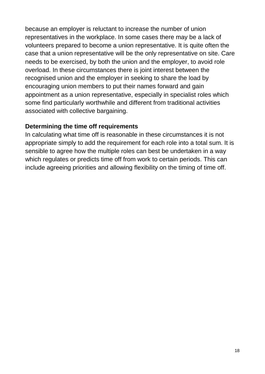because an employer is reluctant to increase the number of union representatives in the workplace. In some cases there may be a lack of volunteers prepared to become a union representative. It is quite often the case that a union representative will be the only representative on site. Care needs to be exercised, by both the union and the employer, to avoid role overload. In these circumstances there is joint interest between the recognised union and the employer in seeking to share the load by encouraging union members to put their names forward and gain appointment as a union representative, especially in specialist roles which some find particularly worthwhile and different from traditional activities associated with collective bargaining.

#### **Determining the time off requirements**

In calculating what time off is reasonable in these circumstances it is not appropriate simply to add the requirement for each role into a total sum. It is sensible to agree how the multiple roles can best be undertaken in a way which regulates or predicts time off from work to certain periods. This can include agreeing priorities and allowing flexibility on the timing of time off.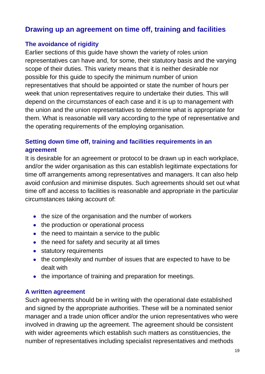# **Drawing up an agreement on time off, training and facilities**

## **The avoidance of rigidity**

Earlier sections of this guide have shown the variety of roles union representatives can have and, for some, their statutory basis and the varying scope of their duties. This variety means that it is neither desirable nor possible for this guide to specify the minimum number of union representatives that should be appointed or state the number of hours per week that union representatives require to undertake their duties. This will depend on the circumstances of each case and it is up to management with the union and the union representatives to determine what is appropriate for them. What is reasonable will vary according to the type of representative and the operating requirements of the employing organisation.

# **Setting down time off, training and facilities requirements in an agreement**

It is desirable for an agreement or protocol to be drawn up in each workplace, and/or the wider organisation as this can establish legitimate expectations for time off arrangements among representatives and managers. It can also help avoid confusion and minimise disputes. Such agreements should set out what time off and access to facilities is reasonable and appropriate in the particular circumstances taking account of:

- the size of the organisation and the number of workers
- the production or operational process
- the need to maintain a service to the public
- the need for safety and security at all times
- statutory requirements
- the complexity and number of issues that are expected to have to be dealt with
- the importance of training and preparation for meetings.

#### **A written agreement**

Such agreements should be in writing with the operational date established and signed by the appropriate authorities. These will be a nominated senior manager and a trade union officer and/or the union representatives who were involved in drawing up the agreement. The agreement should be consistent with wider agreements which establish such matters as constituencies, the number of representatives including specialist representatives and methods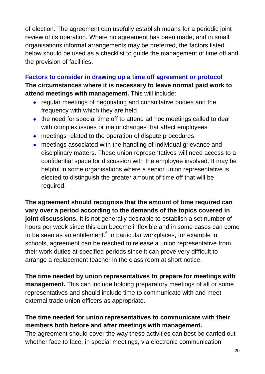of election. The agreement can usefully establish means for a periodic joint review of its operation. Where no agreement has been made, and in small organisations informal arrangements may be preferred, the factors listed below should be used as a checklist to guide the management of time off and the provision of facilities.

**Factors to consider in drawing up a time off agreement or protocol The circumstances where it is necessary to leave normal paid work to attend meetings with management.** This will include:

- regular meetings of negotiating and consultative bodies and the frequency with which they are held
- the need for special time off to attend ad hoc meetings called to deal with complex issues or major changes that affect employees
- meetings related to the operation of dispute procedures
- meetings associated with the handling of individual grievance and disciplinary matters. These union representatives will need access to a confidential space for discussion with the employee involved. It may be helpful in some organisations where a senior union representative is elected to distinguish the greater amount of time off that will be required.

**The agreement should recognise that the amount of time required can vary over a period according to the demands of the topics covered in joint discussions.** It is not generally desirable to establish a set number of hours per week since this can become inflexible and in some cases can come to be seen as an entitlement.**<sup>6</sup>** In particular workplaces, for example in schools, agreement can be reached to release a union representative from their work duties at specified periods since it can prove very difficult to arrange a replacement teacher in the class room at short notice.

**The time needed by union representatives to prepare for meetings with management.** This can include holding preparatory meetings of all or some representatives and should include time to communicate with and meet external trade union officers as appropriate.

# **The time needed for union representatives to communicate with their members both before and after meetings with management.**

The agreement should cover the way these activities can best be carried out whether face to face, in special meetings, via electronic communication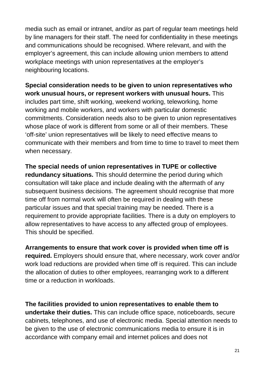media such as email or intranet, and/or as part of regular team meetings held by line managers for their staff. The need for confidentiality in these meetings and communications should be recognised. Where relevant, and with the employer's agreement, this can include allowing union members to attend workplace meetings with union representatives at the employer's neighbouring locations.

**Special consideration needs to be given to union representatives who work unusual hours, or represent workers with unusual hours.** This includes part time, shift working, weekend working, teleworking, home working and mobile workers, and workers with particular domestic commitments. Consideration needs also to be given to union representatives whose place of work is different from some or all of their members. These 'off-site' union representatives will be likely to need effective means to communicate with their members and from time to time to travel to meet them when necessary.

**The special needs of union representatives in TUPE or collective redundancy situations.** This should determine the period during which consultation will take place and include dealing with the aftermath of any subsequent business decisions. The agreement should recognise that more time off from normal work will often be required in dealing with these particular issues and that special training may be needed. There is a requirement to provide appropriate facilities. There is a duty on employers to allow representatives to have access to any affected group of employees. This should be specified.

**Arrangements to ensure that work cover is provided when time off is required.** Employers should ensure that, where necessary, work cover and/or work load reductions are provided when time off is required. This can include the allocation of duties to other employees, rearranging work to a different time or a reduction in workloads.

**The facilities provided to union representatives to enable them to undertake their duties.** This can include office space, noticeboards, secure cabinets, telephones, and use of electronic media. Special attention needs to be given to the use of electronic communications media to ensure it is in accordance with company email and internet polices and does not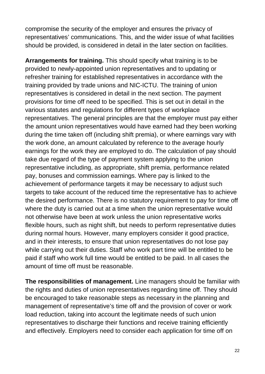compromise the security of the employer and ensures the privacy of representatives' communications. This, and the wider issue of what facilities should be provided, is considered in detail in the later section on facilities.

**Arrangements for training.** This should specify what training is to be provided to newly-appointed union representatives and to updating or refresher training for established representatives in accordance with the training provided by trade unions and NIC-ICTU. The training of union representatives is considered in detail in the next section. The payment provisions for time off need to be specified. This is set out in detail in the various statutes and regulations for different types of workplace representatives. The general principles are that the employer must pay either the amount union representatives would have earned had they been working during the time taken off (including shift premia), or where earnings vary with the work done, an amount calculated by reference to the average hourly earnings for the work they are employed to do. The calculation of pay should take due regard of the type of payment system applying to the union representative including, as appropriate, shift premia, performance related pay, bonuses and commission earnings. Where pay is linked to the achievement of performance targets it may be necessary to adjust such targets to take account of the reduced time the representative has to achieve the desired performance. There is no statutory requirement to pay for time off where the duty is carried out at a time when the union representative would not otherwise have been at work unless the union representative works flexible hours, such as night shift, but needs to perform representative duties during normal hours. However, many employers consider it good practice, and in their interests, to ensure that union representatives do not lose pay while carrying out their duties. Staff who work part time will be entitled to be paid if staff who work full time would be entitled to be paid. In all cases the amount of time off must be reasonable.

**The responsibilities of management.** Line managers should be familiar with the rights and duties of union representatives regarding time off. They should be encouraged to take reasonable steps as necessary in the planning and management of representative's time off and the provision of cover or work load reduction, taking into account the legitimate needs of such union representatives to discharge their functions and receive training efficiently and effectively. Employers need to consider each application for time off on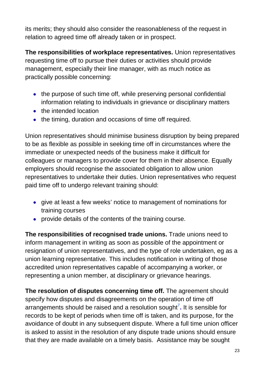its merits; they should also consider the reasonableness of the request in relation to agreed time off already taken or in prospect.

**The responsibilities of workplace representatives.** Union representatives requesting time off to pursue their duties or activities should provide management, especially their line manager, with as much notice as practically possible concerning:

- the purpose of such time off, while preserving personal confidential information relating to individuals in grievance or disciplinary matters
- the intended location
- the timing, duration and occasions of time off required.

Union representatives should minimise business disruption by being prepared to be as flexible as possible in seeking time off in circumstances where the immediate or unexpected needs of the business make it difficult for colleagues or managers to provide cover for them in their absence. Equally employers should recognise the associated obligation to allow union representatives to undertake their duties. Union representatives who request paid time off to undergo relevant training should:

- give at least a few weeks' notice to management of nominations for training courses
- provide details of the contents of the training course.

**The responsibilities of recognised trade unions.** Trade unions need to inform management in writing as soon as possible of the appointment or resignation of union representatives, and the type of role undertaken, eg as a union learning representative. This includes notification in writing of those accredited union representatives capable of accompanying a worker, or representing a union member, at disciplinary or grievance hearings.

**The resolution of disputes concerning time off.** The agreement should specify how disputes and disagreements on the operation of time off arrangements should be raised and a resolution sought**<sup>7</sup> .** It is sensible for records to be kept of periods when time off is taken, and its purpose, for the avoidance of doubt in any subsequent dispute. Where a full time union officer is asked to assist in the resolution of any dispute trade unions should ensure that they are made available on a timely basis. Assistance may be sought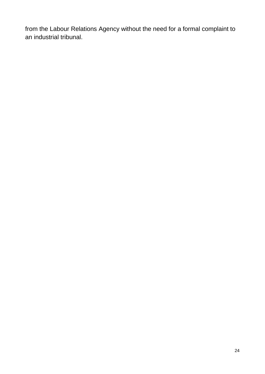from the Labour Relations Agency without the need for a formal complaint to an industrial tribunal.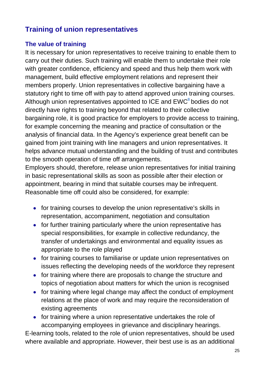# **Training of union representatives**

# **The value of training**

It is necessary for union representatives to receive training to enable them to carry out their duties. Such training will enable them to undertake their role with greater confidence, efficiency and speed and thus help them work with management, build effective employment relations and represent their members properly. Union representatives in collective bargaining have a statutory right to time off with pay to attend approved union training courses. Although union representatives appointed to ICE and EWC**<sup>8</sup>** bodies do not directly have rights to training beyond that related to their collective bargaining role, it is good practice for employers to provide access to training, for example concerning the meaning and practice of consultation or the analysis of financial data. In the Agency's experience great benefit can be gained from joint training with line managers and union representatives. It helps advance mutual understanding and the building of trust and contributes to the smooth operation of time off arrangements.

Employers should, therefore, release union representatives for initial training in basic representational skills as soon as possible after their election or appointment, bearing in mind that suitable courses may be infrequent. Reasonable time off could also be considered, for example:

- for training courses to develop the union representative's skills in representation, accompaniment, negotiation and consultation
- for further training particularly where the union representative has special responsibilities, for example in collective redundancy, the transfer of undertakings and environmental and equality issues as appropriate to the role played
- for training courses to familiarise or update union representatives on issues reflecting the developing needs of the workforce they represent
- for training where there are proposals to change the structure and topics of negotiation about matters for which the union is recognised
- for training where legal change may affect the conduct of employment relations at the place of work and may require the reconsideration of existing agreements
- for training where a union representative undertakes the role of accompanying employees in grievance and disciplinary hearings.

E-learning tools, related to the role of union representatives, should be used where available and appropriate. However, their best use is as an additional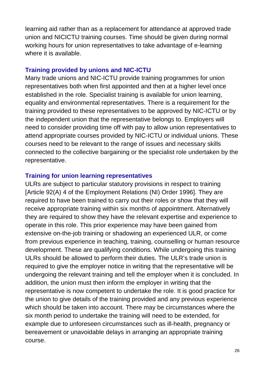learning aid rather than as a replacement for attendance at approved trade union and NICICTU training courses. Time should be given during normal working hours for union representatives to take advantage of e-learning where it is available.

#### **Training provided by unions and NIC-ICTU**

Many trade unions and NIC-ICTU provide training programmes for union representatives both when first appointed and then at a higher level once established in the role. Specialist training is available for union learning, equality and environmental representatives. There is a requirement for the training provided to these representatives to be approved by NIC-ICTU or by the independent union that the representative belongs to. Employers will need to consider providing time off with pay to allow union representatives to attend appropriate courses provided by NIC-ICTU or individual unions. These courses need to be relevant to the range of issues and necessary skills connected to the collective bargaining or the specialist role undertaken by the representative.

#### **Training for union learning representatives**

ULRs are subject to particular statutory provisions in respect to training [Article 92(A) 4 of the Employment Relations (NI) Order 1996]. They are required to have been trained to carry out their roles or show that they will receive appropriate training within six months of appointment. Alternatively they are required to show they have the relevant expertise and experience to operate in this role. This prior experience may have been gained from extensive on-the-job training or shadowing an experienced ULR, or come from previous experience in teaching, training, counselling or human resource development. These are qualifying conditions. While undergoing this training ULRs should be allowed to perform their duties. The ULR's trade union is required to give the employer notice in writing that the representative will be undergoing the relevant training and tell the employer when it is concluded. In addition, the union must then inform the employer in writing that the representative is now competent to undertake the role. It is good practice for the union to give details of the training provided and any previous experience which should be taken into account. There may be circumstances where the six month period to undertake the training will need to be extended, for example due to unforeseen circumstances such as ill-health, pregnancy or bereavement or unavoidable delays in arranging an appropriate training course.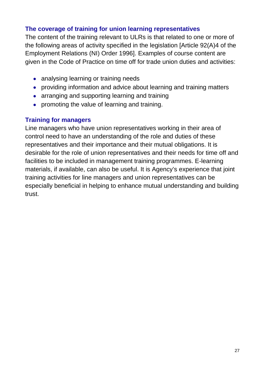## **The coverage of training for union learning representatives**

The content of the training relevant to ULRs is that related to one or more of the following areas of activity specified in the legislation [Article 92(A)4 of the Employment Relations (NI) Order 1996]. Examples of course content are given in the Code of Practice on time off for trade union duties and activities:

- analysing learning or training needs
- providing information and advice about learning and training matters
- arranging and supporting learning and training
- promoting the value of learning and training.

## **Training for managers**

Line managers who have union representatives working in their area of control need to have an understanding of the role and duties of these representatives and their importance and their mutual obligations. It is desirable for the role of union representatives and their needs for time off and facilities to be included in management training programmes. E-learning materials, if available, can also be useful. It is Agency's experience that joint training activities for line managers and union representatives can be especially beneficial in helping to enhance mutual understanding and building trust.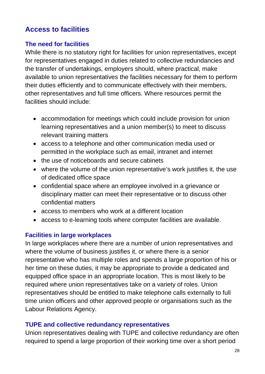# **Access to facilities**

#### **The need for facilities**

While there is no statutory right for facilities for union representatives, except for representatives engaged in duties related to collective redundancies and the transfer of undertakings, employers should, where practical, make available to union representatives the facilities necessary for them to perform their duties efficiently and to communicate effectively with their members, other representatives and full time officers. Where resources permit the facilities should include:

- accommodation for meetings which could include provision for union learning representatives and a union member(s) to meet to discuss relevant training matters
- access to a telephone and other communication media used or permitted in the workplace such as email, intranet and internet
- the use of noticeboards and secure cabinets
- where the volume of the union representative's work justifies it, the use of dedicated office space
- confidential space where an employee involved in a grievance or disciplinary matter can meet their representative or to discuss other confidential matters
- access to members who work at a different location
- access to e-learning tools where computer facilities are available.

#### **Facilities in large workplaces**

In large workplaces where there are a number of union representatives and where the volume of business justifies it, or where there is a senior representative who has multiple roles and spends a large proportion of his or her time on these duties, it may be appropriate to provide a dedicated and equipped office space in an appropriate location. This is most likely to be required where union representatives take on a variety of roles. Union representatives should be entitled to make telephone calls externally to full time union officers and other approved people or organisations such as the Labour Relations Agency.

#### **TUPE and collective redundancy representatives**

Union representatives dealing with TUPE and collective redundancy are often required to spend a large proportion of their working time over a short period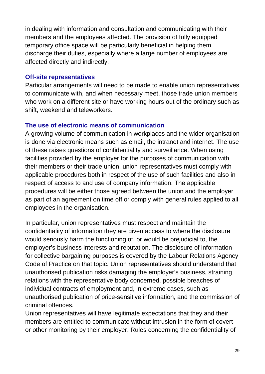in dealing with information and consultation and communicating with their members and the employees affected. The provision of fully equipped temporary office space will be particularly beneficial in helping them discharge their duties, especially where a large number of employees are affected directly and indirectly.

#### **Off-site representatives**

Particular arrangements will need to be made to enable union representatives to communicate with, and when necessary meet, those trade union members who work on a different site or have working hours out of the ordinary such as shift, weekend and teleworkers.

#### **The use of electronic means of communication**

A growing volume of communication in workplaces and the wider organisation is done via electronic means such as email, the intranet and internet. The use of these raises questions of confidentiality and surveillance. When using facilities provided by the employer for the purposes of communication with their members or their trade union, union representatives must comply with applicable procedures both in respect of the use of such facilities and also in respect of access to and use of company information. The applicable procedures will be either those agreed between the union and the employer as part of an agreement on time off or comply with general rules applied to all employees in the organisation.

In particular, union representatives must respect and maintain the confidentiality of information they are given access to where the disclosure would seriously harm the functioning of, or would be prejudicial to, the employer's business interests and reputation. The disclosure of information for collective bargaining purposes is covered by the Labour Relations Agency Code of Practice on that topic. Union representatives should understand that unauthorised publication risks damaging the employer's business, straining relations with the representative body concerned, possible breaches of individual contracts of employment and, in extreme cases, such as unauthorised publication of price-sensitive information, and the commission of criminal offences.

Union representatives will have legitimate expectations that they and their members are entitled to communicate without intrusion in the form of covert or other monitoring by their employer. Rules concerning the confidentiality of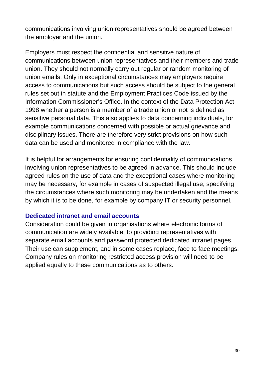communications involving union representatives should be agreed between the employer and the union.

Employers must respect the confidential and sensitive nature of communications between union representatives and their members and trade union. They should not normally carry out regular or random monitoring of union emails. Only in exceptional circumstances may employers require access to communications but such access should be subject to the general rules set out in statute and the Employment Practices Code issued by the Information Commissioner's Office. In the context of the Data Protection Act 1998 whether a person is a member of a trade union or not is defined as sensitive personal data. This also applies to data concerning individuals, for example communications concerned with possible or actual grievance and disciplinary issues. There are therefore very strict provisions on how such data can be used and monitored in compliance with the law.

It is helpful for arrangements for ensuring confidentiality of communications involving union representatives to be agreed in advance. This should include agreed rules on the use of data and the exceptional cases where monitoring may be necessary, for example in cases of suspected illegal use, specifying the circumstances where such monitoring may be undertaken and the means by which it is to be done, for example by company IT or security personnel.

#### **Dedicated intranet and email accounts**

Consideration could be given in organisations where electronic forms of communication are widely available, to providing representatives with separate email accounts and password protected dedicated intranet pages. Their use can supplement, and in some cases replace, face to face meetings. Company rules on monitoring restricted access provision will need to be applied equally to these communications as to others.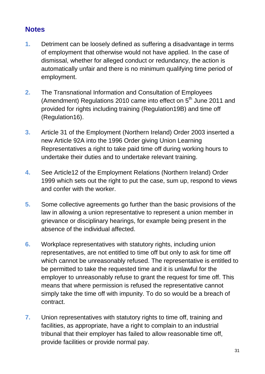# **Notes**

- **1.** Detriment can be loosely defined as suffering a disadvantage in terms of employment that otherwise would not have applied. In the case of dismissal, whether for alleged conduct or redundancy, the action is automatically unfair and there is no minimum qualifying time period of employment.
- **2.** The Transnational Information and Consultation of Employees (Amendment) Regulations 2010 came into effect on  $5<sup>th</sup>$  June 2011 and provided for rights including training (Regulation19B) and time off (Regulation16).
- **3.** Article 31 of the Employment (Northern Ireland) Order 2003 inserted a new Article 92A into the 1996 Order giving Union Learning Representatives a right to take paid time off during working hours to undertake their duties and to undertake relevant training.
- **4.** See Article12 of the Employment Relations (Northern Ireland) Order 1999 which sets out the right to put the case, sum up, respond to views and confer with the worker.
- **5.** Some collective agreements go further than the basic provisions of the law in allowing a union representative to represent a union member in grievance or disciplinary hearings, for example being present in the absence of the individual affected.
- **6.** Workplace representatives with statutory rights, including union representatives, are not entitled to time off but only to ask for time off which cannot be unreasonably refused. The representative is entitled to be permitted to take the requested time and it is unlawful for the employer to unreasonably refuse to grant the request for time off. This means that where permission is refused the representative cannot simply take the time off with impunity. To do so would be a breach of contract.
- **7.** Union representatives with statutory rights to time off, training and facilities, as appropriate, have a right to complain to an industrial tribunal that their employer has failed to allow reasonable time off, provide facilities or provide normal pay.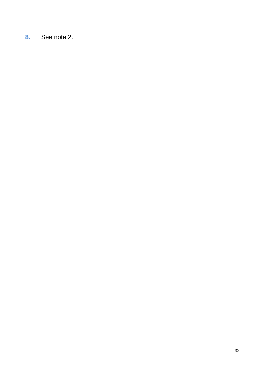**8.** See note 2.